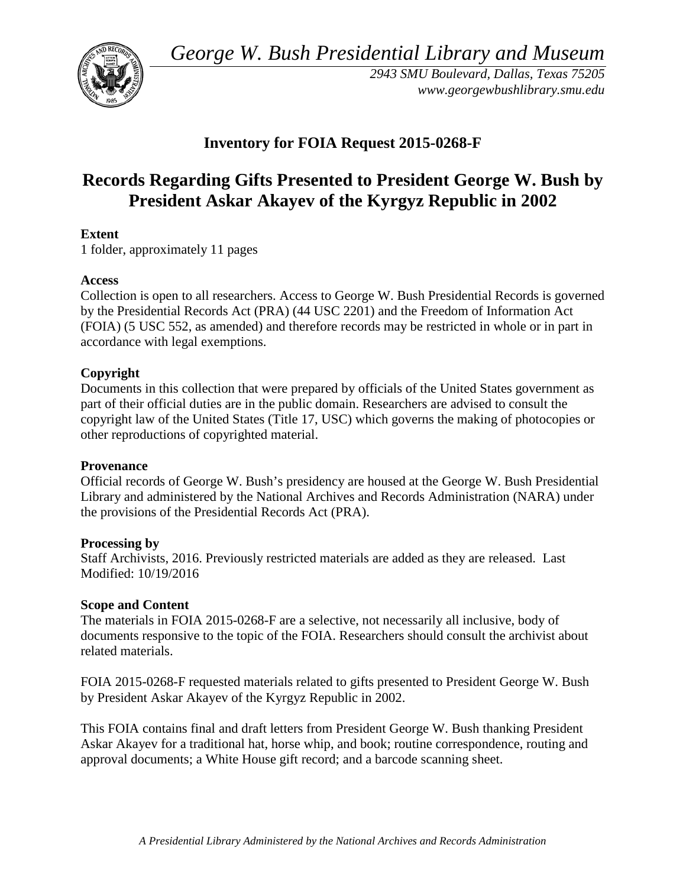*George W. Bush Presidential Library and Museum* 



 *2943 SMU Boulevard, Dallas, Texas 75205 <www.georgewbushlibrary.smu.edu>*

# **Inventory for FOIA Request 2015-0268-F**

# **Records Regarding Gifts Presented to President George W. Bush by President Askar Akayev of the Kyrgyz Republic in 2002**

# **Extent**

1 folder, approximately 11 pages

## **Access**

 by the Presidential Records Act (PRA) (44 USC 2201) and the Freedom of Information Act Collection is open to all researchers. Access to George W. Bush Presidential Records is governed (FOIA) (5 USC 552, as amended) and therefore records may be restricted in whole or in part in accordance with legal exemptions.

## **Copyright**

 Documents in this collection that were prepared by officials of the United States government as part of their official duties are in the public domain. Researchers are advised to consult the copyright law of the United States (Title 17, USC) which governs the making of photocopies or other reproductions of copyrighted material.

## **Provenance**

Official records of George W. Bush's presidency are housed at the George W. Bush Presidential Library and administered by the National Archives and Records Administration (NARA) under the provisions of the Presidential Records Act (PRA).

## **Processing by**

 Staff Archivists, 2016. Previously restricted materials are added as they are released. Last Modified: 10/19/2016

#### **Scope and Content**

The materials in FOIA 2015-0268-F are a selective, not necessarily all inclusive, body of documents responsive to the topic of the FOIA. Researchers should consult the archivist about related materials.

FOIA 2015-0268-F requested materials related to gifts presented to President George W. Bush by President Askar Akayev of the Kyrgyz Republic in 2002.

 This FOIA contains final and draft letters from President George W. Bush thanking President Askar Akayev for a traditional hat, horse whip, and book; routine correspondence, routing and approval documents; a White House gift record; and a barcode scanning sheet.